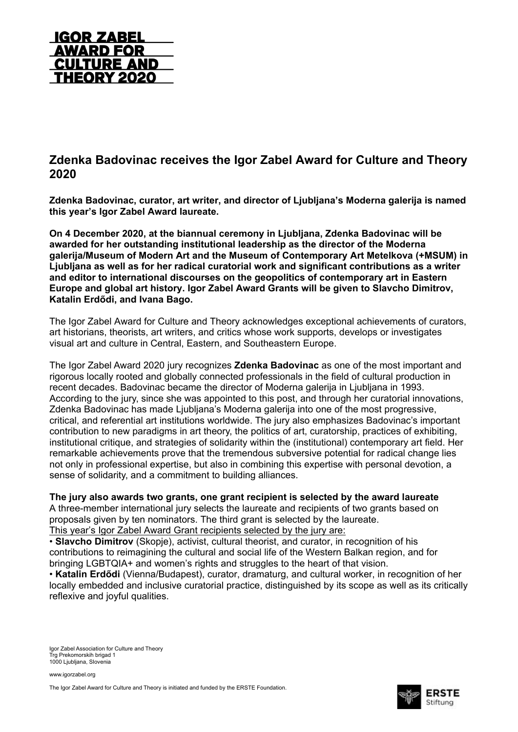

# **Zdenka Badovinac receives the Igor Zabel Award for Culture and Theory 2020**

**Zdenka Badovinac, curator, art writer, and director of Ljubljana's Moderna galerija is named this year's Igor Zabel Award laureate.**

**On 4 December 2020, at the biannual ceremony in Ljubljana, Zdenka Badovinac will be awarded for her outstanding institutional leadership as the director of the Moderna galerija/Museum of Modern Art and the Museum of Contemporary Art Metelkova (+MSUM) in Ljubljana as well as for her radical curatorial work and significant contributions as a writer and editor to international discourses on the geopolitics of contemporary art in Eastern Europe and global art history. Igor Zabel Award Grants will be given to Slavcho Dimitrov, Katalin Erdődi, and Ivana Bago.**

The Igor Zabel Award for Culture and Theory acknowledges exceptional achievements of curators, art historians, theorists, art writers, and critics whose work supports, develops or investigates visual art and culture in Central, Eastern, and Southeastern Europe.

The Igor Zabel Award 2020 jury recognizes **Zdenka Badovinac** as one of the most important and rigorous locally rooted and globally connected professionals in the field of cultural production in recent decades. Badovinac became the director of Moderna galerija in Ljubljana in 1993. According to the jury, since she was appointed to this post, and through her curatorial innovations, Zdenka Badovinac has made Ljubljana's Moderna galerija into one of the most progressive, critical, and referential art institutions worldwide. The jury also emphasizes Badovinac's important contribution to new paradigms in art theory, the politics of art, curatorship, practices of exhibiting, institutional critique, and strategies of solidarity within the (institutional) contemporary art field. Her remarkable achievements prove that the tremendous subversive potential for radical change lies not only in professional expertise, but also in combining this expertise with personal devotion, a sense of solidarity, and a commitment to building alliances.

### **The jury also awards two grants, one grant recipient is selected by the award laureate**

A three-member international jury selects the laureate and recipients of two grants based on proposals given by ten nominators. The third grant is selected by the laureate. This year's Igor Zabel Award Grant recipients selected by the jury are:

• **Slavcho Dimitrov** (Skopje), activist, cultural theorist, and curator, in recognition of his contributions to reimagining the cultural and social life of the Western Balkan region, and for bringing LGBTQIA+ and women's rights and struggles to the heart of that vision.

• **Katalin Erdődi** (Vienna/Budapest), curator, dramaturg, and cultural worker, in recognition of her locally embedded and inclusive curatorial practice, distinguished by its scope as well as its critically reflexive and joyful qualities.

Igor Zabel Association for Culture and Theory Trg Prekomorskih brigad 1 1000 Ljubljana, Slovenia

www.igorzabel.org

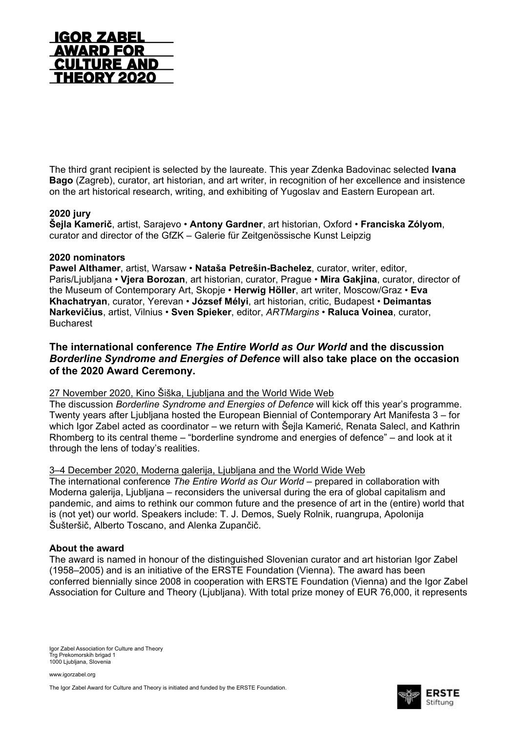

The third grant recipient is selected by the laureate. This year Zdenka Badovinac selected **Ivana Bago** (Zagreb), curator, art historian, and art writer, in recognition of her excellence and insistence on the art historical research, writing, and exhibiting of Yugoslav and Eastern European art.

## **2020 jury**

**Šejla Kamerič**, artist, Sarajevo • **Antony Gardner**, art historian, Oxford • **Franciska Zólyom**, curator and director of the GfZK – Galerie für Zeitgenössische Kunst Leipzig

#### **2020 nominators**

**Pawel Althamer**, artist, Warsaw • **Nataša Petrešin-Bachelez**, curator, writer, editor, Paris/Ljubljana • **Vjera Borozan**, art historian, curator, Prague • **Mira Gakjina**, curator, director of the Museum of Contemporary Art, Skopje • **Herwig Höller**, art writer, Moscow/Graz • **Eva Khachatryan**, curator, Yerevan • **József Mélyi**, art historian, critic, Budapest • **Deimantas Narkevičius**, artist, Vilnius • **Sven Spieker**, editor, *ARTMargins* • **Raluca Voinea**, curator, **Bucharest** 

# **The international conference** *The Entire World as Our World* **and the discussion** *Borderline Syndrome and Energies of Defence* **will also take place on the occasion of the 2020 Award Ceremony.**

#### 27 November 2020, Kino Šiška, Ljubljana and the World Wide Web

The discussion *Borderline Syndrome and Energies of Defence* will kick off this year's programme. Twenty years after Ljubljana hosted the European Biennial of Contemporary Art Manifesta 3 – for which Igor Zabel acted as coordinator – we return with Šejla Kamerić, Renata Salecl, and Kathrin Rhomberg to its central theme – "borderline syndrome and energies of defence" – and look at it through the lens of today's realities.

#### 3–4 December 2020, Moderna galerija, Ljubljana and the World Wide Web

The international conference *The Entire World as Our World* – prepared in collaboration with Moderna galerija, Ljubljana – reconsiders the universal during the era of global capitalism and pandemic, and aims to rethink our common future and the presence of art in the (entire) world that is (not yet) our world. Speakers include: T. J. Demos, Suely Rolnik, ruangrupa, Apolonija Šušteršič, Alberto Toscano, and Alenka Zupančič.

#### **About the award**

The award is named in honour of the distinguished Slovenian curator and art historian Igor Zabel (1958–2005) and is an initiative of the ERSTE Foundation (Vienna). The award has been conferred biennially since 2008 in cooperation with ERSTE Foundation (Vienna) and the Igor Zabel Association for Culture and Theory (Ljubljana). With total prize money of EUR 76,000, it represents

Igor Zabel Association for Culture and Theory Trg Prekomorskih brigad 1 1000 Ljubljana, Slovenia

www.igorzabel.org

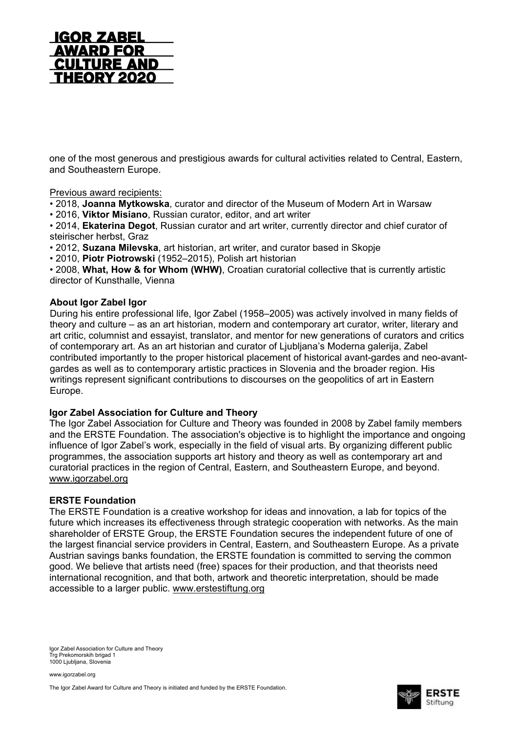

one of the most generous and prestigious awards for cultural activities related to Central, Eastern, and Southeastern Europe.

#### Previous award recipients:

• 2018, **Joanna Mytkowska**, curator and director of the Museum of Modern Art in Warsaw

• 2016, **Viktor Misiano**, Russian curator, editor, and art writer

• 2014, **Ekaterina Degot**, Russian curator and art writer, currently director and chief curator of steirischer herbst, Graz

• 2012, **Suzana Milevska**, art historian, art writer, and curator based in Skopje

• 2010, **Piotr Piotrowski** (1952–2015), Polish art historian

• 2008, **What, How & for Whom (WHW)**, Croatian curatorial collective that is currently artistic director of Kunsthalle, Vienna

#### **About Igor Zabel Igor**

During his entire professional life, Igor Zabel (1958–2005) was actively involved in many fields of theory and culture – as an art historian, modern and contemporary art curator, writer, literary and art critic, columnist and essayist, translator, and mentor for new generations of curators and critics of contemporary art. As an art historian and curator of Ljubljana's Moderna galerija, Zabel contributed importantly to the proper historical placement of historical avant-gardes and neo-avantgardes as well as to contemporary artistic practices in Slovenia and the broader region. His writings represent significant contributions to discourses on the geopolitics of art in Eastern Europe.

### **Igor Zabel Association for Culture and Theory**

The Igor Zabel Association for Culture and Theory was founded in 2008 by Zabel family members and the ERSTE Foundation. The association's objective is to highlight the importance and ongoing influence of Igor Zabel's work, especially in the field of visual arts. By organizing different public programmes, the association supports art history and theory as well as contemporary art and curatorial practices in the region of Central, Eastern, and Southeastern Europe, and beyond. [www.igorzabel.org](http://www.igorzabel.org/)

#### **ERSTE Foundation**

The ERSTE Foundation is a creative workshop for ideas and innovation, a lab for topics of the future which increases its effectiveness through strategic cooperation with networks. As the main shareholder of ERSTE Group, the ERSTE Foundation secures the independent future of one of the largest financial service providers in Central, Eastern, and Southeastern Europe. As a private Austrian savings banks foundation, the ERSTE foundation is committed to serving the common good. We believe that artists need (free) spaces for their production, and that theorists need international recognition, and that both, artwork and theoretic interpretation, should be made accessible to a larger public. [www.erstestiftung.org](http://www.erstestiftung.org/)

Igor Zabel Association for Culture and Theory Trg Prekomorskih brigad 1 1000 Ljubljana, Slovenia

www.igorzabel.org